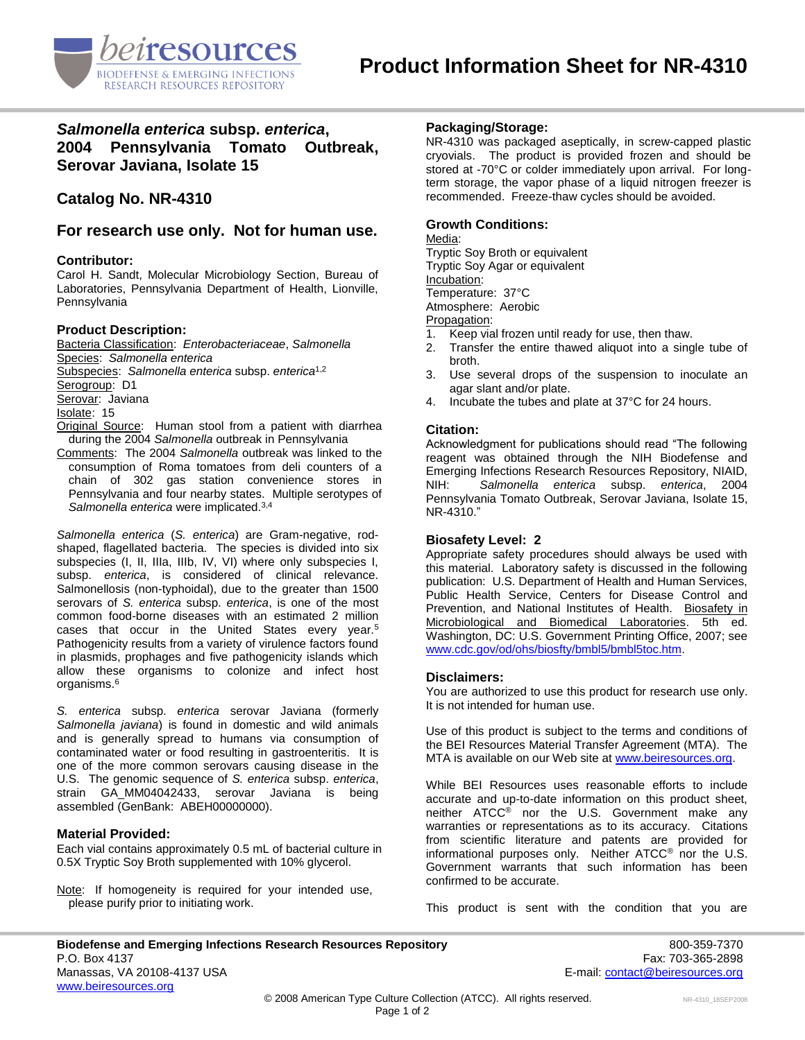

# *Salmonella enterica* **subsp.** *enterica***, 2004 Pennsylvania Tomato Outbreak, Serovar Javiana, Isolate 15**

# **Catalog No. NR-4310**

**For research use only. Not for human use.**

# **Contributor:**

Carol H. Sandt, Molecular Microbiology Section, Bureau of Laboratories, Pennsylvania Department of Health, Lionville, Pennsylvania

## **Product Description:**

Bacteria Classification: *Enterobacteriaceae*, *Salmonella* Species: *Salmonella enterica* Subspecies: *Salmonella enterica* subsp. *enterica*1,2 Serogroup: D1 Serovar: Javiana Isolate: 15 Original Source: Human stool from a patient with diarrhea during the 2004 *Salmonella* outbreak in Pennsylvania

Comments: The 2004 *Salmonella* outbreak was linked to the consumption of Roma tomatoes from deli counters of a chain of 302 gas station convenience stores in Pennsylvania and four nearby states. Multiple serotypes of *Salmonella enterica* were implicated.3,4

*Salmonella enterica* (*S. enterica*) are Gram-negative, rodshaped, flagellated bacteria. The species is divided into six subspecies (I, II, IIIa, IIIb, IV, VI) where only subspecies I, subsp. *enterica*, is considered of clinical relevance. Salmonellosis (non-typhoidal), due to the greater than 1500 serovars of *S. enterica* subsp. *enterica*, is one of the most common food-borne diseases with an estimated 2 million cases that occur in the United States every year.<sup>5</sup> Pathogenicity results from a variety of virulence factors found in plasmids, prophages and five pathogenicity islands which allow these organisms to colonize and infect host organisms.<sup>6</sup>

*S. enterica* subsp. *enterica* serovar Javiana (formerly *Salmonella javiana*) is found in domestic and wild animals and is generally spread to humans via consumption of contaminated water or food resulting in gastroenteritis. It is one of the more common serovars causing disease in the U.S. The genomic sequence of *S. enterica* subsp. *enterica*, strain GA\_MM04042433, serovar Javiana is being assembled (GenBank: ABEH00000000).

# **Material Provided:**

Each vial contains approximately 0.5 mL of bacterial culture in 0.5X Tryptic Soy Broth supplemented with 10% glycerol.

Note: If homogeneity is required for your intended use, please purify prior to initiating work.

# **Packaging/Storage:**

NR-4310 was packaged aseptically, in screw-capped plastic cryovials. The product is provided frozen and should be stored at -70°C or colder immediately upon arrival. For longterm storage, the vapor phase of a liquid nitrogen freezer is recommended. Freeze-thaw cycles should be avoided.

# **Growth Conditions:**

#### Media:

Tryptic Soy Broth or equivalent Tryptic Soy Agar or equivalent Incubation: Temperature: 37°C Atmosphere: Aerobic

- Propagation:<br>1. Keep via Keep vial frozen until ready for use, then thaw.
- 2. Transfer the entire thawed aliquot into a single tube of broth.
- 3. Use several drops of the suspension to inoculate an agar slant and/or plate.
- 4. Incubate the tubes and plate at 37°C for 24 hours.

## **Citation:**

Acknowledgment for publications should read "The following reagent was obtained through the NIH Biodefense and Emerging Infections Research Resources Repository, NIAID, NIH: *Salmonella enterica* subsp. *enterica*, 2004 Pennsylvania Tomato Outbreak, Serovar Javiana, Isolate 15, NR-4310."

### **Biosafety Level: 2**

Appropriate safety procedures should always be used with this material. Laboratory safety is discussed in the following publication: U.S. Department of Health and Human Services, Public Health Service, Centers for Disease Control and Prevention, and National Institutes of Health. Biosafety in Microbiological and Biomedical Laboratories. 5th ed. Washington, DC: U.S. Government Printing Office, 2007; see [www.cdc.gov/od/ohs/biosfty/bmbl5/bmbl5toc.htm.](http://www.cdc.gov/od/ohs/biosfty/bmbl5/bmbl5toc.htm)

### **Disclaimers:**

You are authorized to use this product for research use only. It is not intended for human use.

Use of this product is subject to the terms and conditions of the BEI Resources Material Transfer Agreement (MTA). The MTA is available on our Web site at [www.beiresources.org.](http://www.beiresources.org/)

While BEI Resources uses reasonable efforts to include accurate and up-to-date information on this product sheet, neither ATCC® nor the U.S. Government make any warranties or representations as to its accuracy. Citations from scientific literature and patents are provided for informational purposes only. Neither ATCC® nor the U.S. Government warrants that such information has been confirmed to be accurate.

This product is sent with the condition that you are